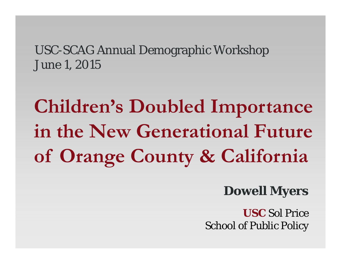#### USC-SCAG Annual Demographic Workshop June 1, 2015

# **Children's Doubled Importance in the New Generational Future of Orange County & California**

#### **Dowell Myers**

**USC** Sol Price School of Public Policy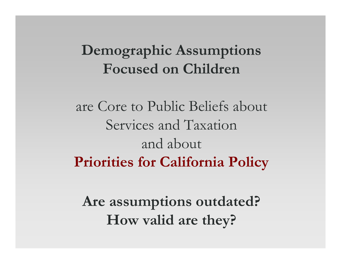## **Demographic Assumptions Focused on Children**

are Core to Public Beliefs about Services and Taxation and about **Priorities for California Policy**

**Are assumptions outdated? How valid are they?**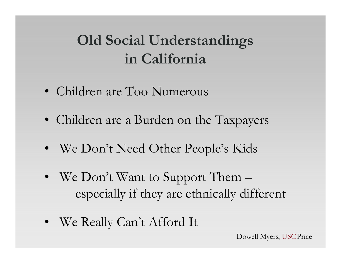## **Old Social Understandings in California**

- Children are Too Numerous
- Children are a Burden on the Taxpayers
- We Don't Need Other People's Kids
- We Don't Want to Support Them especially if they are ethnically different
- We Really Can't Afford It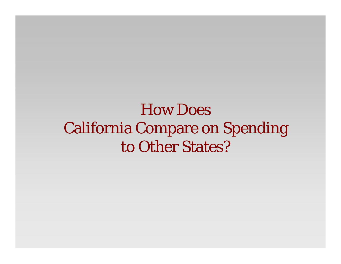## How Does California Compare on Spending to Other States?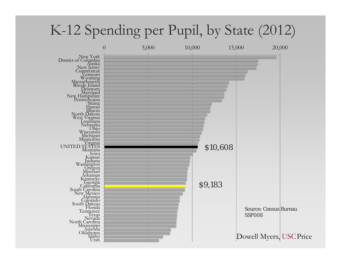### K-12 Spending per Pupil, by State (2012)

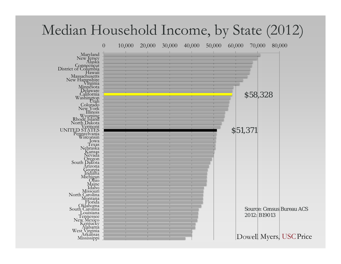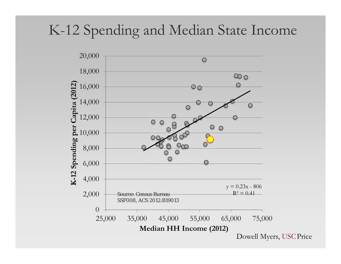### K-12 Spending and Median State Income

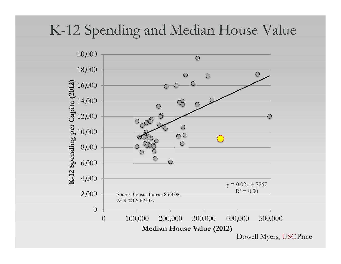### K-12 Spending and Median House Value

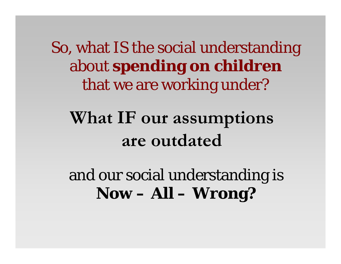So, what IS the social understanding about **spending on children**  that we are working under?

## **What IF our assumptions are outdated**

and our social understanding is **Now – All – Wrong?**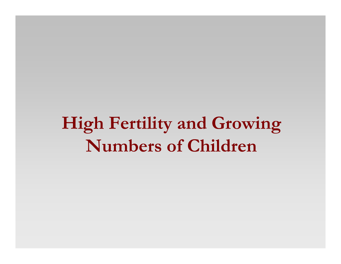**High Fertility and Growing Numbers of Children**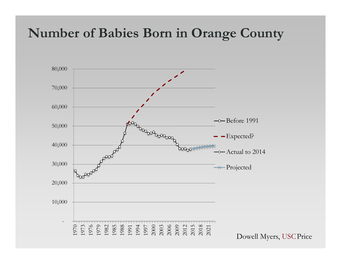### **Number of Babies Born in Orange County**

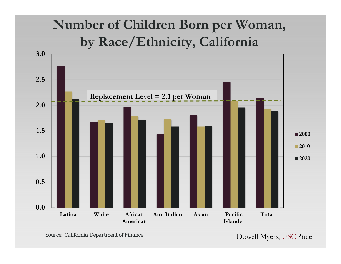### **Number of Children Born per Woman, by Race/Ethnicity, California**



Dowell Myers, USCPrice *Source: California Department of Finance*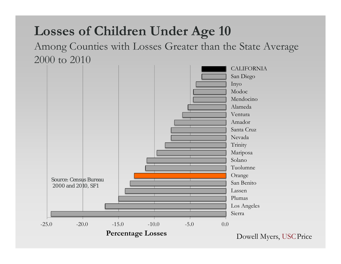### **Losses of Children Under Age 10**

Among Counties with Losses Greater than the State Average 2000 to 2010

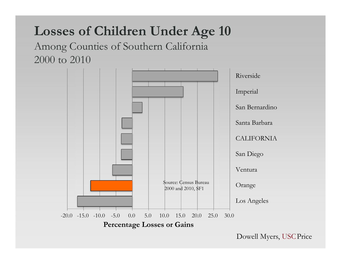### **Losses of Children Under Age 10**

#### Among Counties of Southern California 2000 to 2010

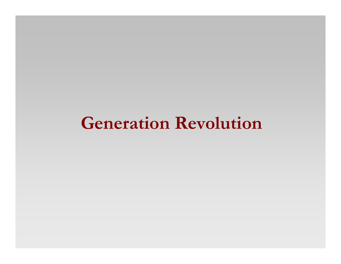## **Generation Revolution**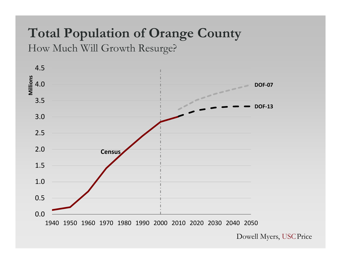## **Total Population of Orange County**

How Much Will Growth Resurge?

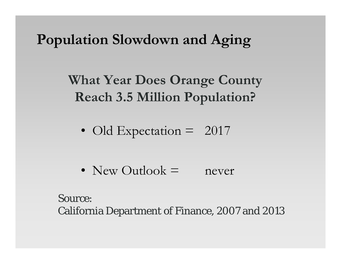### **Population Slowdown and Aging**

**What Year Does Orange County Reach 3.5 Million Population?**

• Old Expectation = 2017

• New Outlook = never

Source: California Department of Finance, 2007 and 2013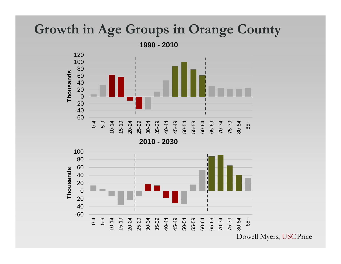#### **Growth in Age Groups in Orange County**

**1990 - 2010**



**2010 - 2030**

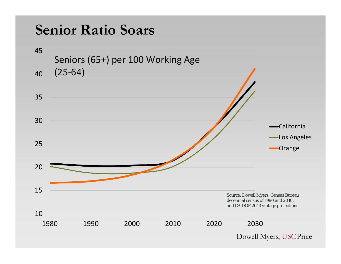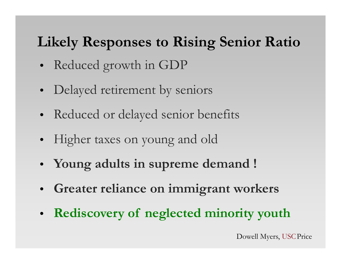### **Likely Responses to Rising Senior Ratio**

- Reduced growth in GDP
- Delayed retirement by seniors
- Reduced or delayed senior benefits
- Higher taxes on young and old
- **Young adults in supreme demand !**
- **Greater reliance on immigrant workers**
- **Rediscovery of neglected minority youth**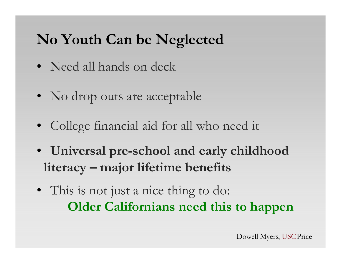### **No Youth Can be Neglected**

- Need all hands on deck
- No drop outs are acceptable
- College financial aid for all who need it
- **Universal pre-school and early childhood literacy – major lifetime benefits**
- This is not just a nice thing to do: **Older Californians need this to happen**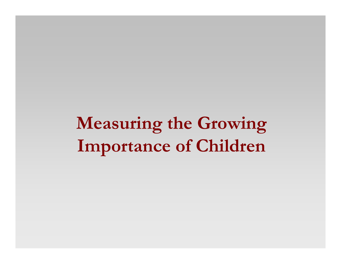**Measuring the Growing Importance of Children**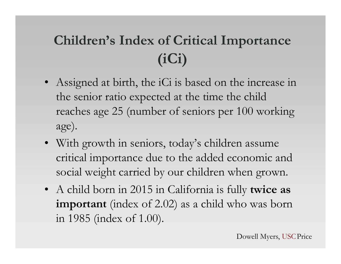## **Children's Index of Critical Importance (iCi)**

- Assigned at birth, the iCi is based on the increase in the senior ratio expected at the time the child reaches age 25 (number of seniors per 100 working age).
- With growth in seniors, today's children assume critical importance due to the added economic and social weight carried by our children when grown.
- A child born in 2015 in California is fully **twice as important** (index of 2.02) as a child who was born in 1985 (index of 1.00).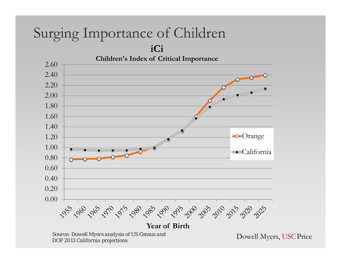## Surging Importance of Children

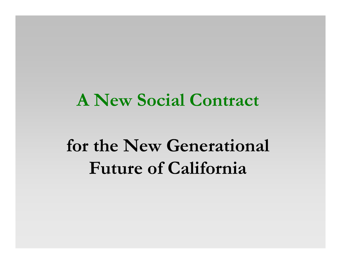## **A New Social Contract**

## **for the New Generational Future of California**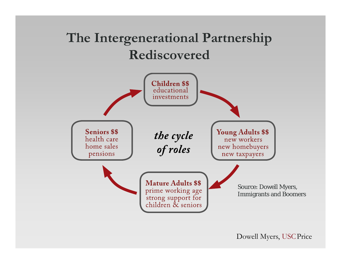### **The Intergenerational Partnership Rediscovered**

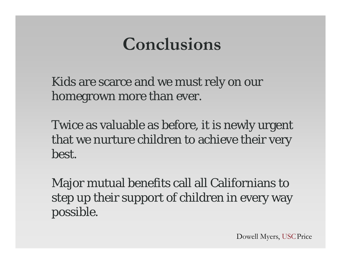## **Conclusions**

Kids are scarce and we must rely on our homegrown more than ever.

Twice as valuable as before, it is newly urgent that we nurture children to achieve their very best.

Major mutual benefits call all Californians to step up their support of children in every way possible.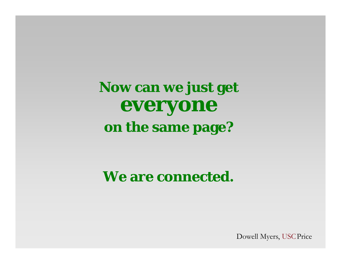**Now can we just get everyone on the same page?**

#### **We are connected.**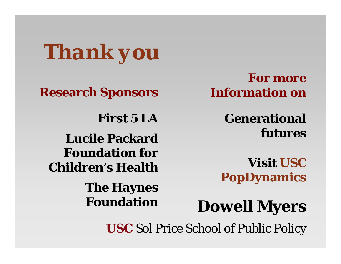*Thank you*

**Research Sponsors**

**First 5 LALucile Packard** 

**Foundation for Children's Health**

> **The Haynes Foundation**

**For more Information on**

> **Generational futures**

**Visit USC PopDynamics**

**Dowell Myers**

**USC** Sol Price School of Public Policy